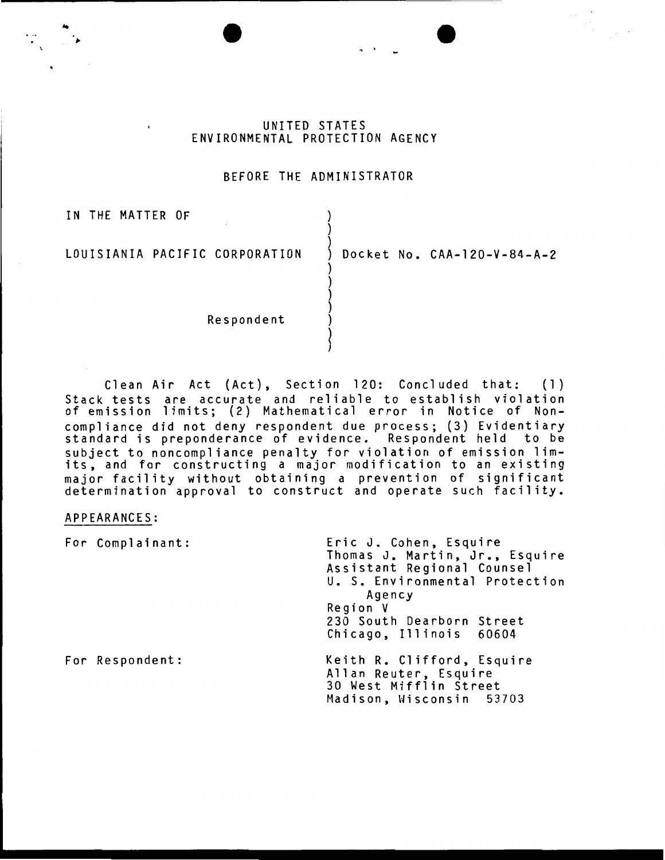# UNITED STATES ENVIRONMENTAL PROTECTION AGENCY

## BEFORE THE ADMINISTRATOR

) )

)

) ) ) )

~

IN THE MATTER OF

..

LOUISIANIA PACIFIC CORPORATION

Docket No. CAA-120-V-84-A-2

**Respondent** 

Clean Air Act (Act), Section 120: Concluded that: (1) Stack tests are accurate and reliable to establish violation of emission limits; (2) Mathematical error in Notice of Noncompliance did not deny respondent due process; (3) Evidentiary standard is preponderance of evidence. Respondent held to be subject to noncompliance penalty for violation of emission limsubject to noncompirance penaity for violation of emission fim-<br>its, and for constructing a major modification to an existing major facility without obtaining a prevention of significant determination approval to construct and operate such facility.

#### APPEARANCES:

| For Complainant: | Eric J. Cohen, Esquire<br>Thomas J. Martin, Jr., Esquire<br>Assistant Regional Counsel<br>U. S. Environmental Protection<br>Agency<br>Region V<br>230 South Dearborn Street<br>Chicago, Illinois 60604 |
|------------------|--------------------------------------------------------------------------------------------------------------------------------------------------------------------------------------------------------|
| For Respondent:  | Keith R. Clifford, Esquire<br>Allan Reuter, Esquire<br>30 West Mifflin Street<br>Madison, Wisconsin 53703                                                                                              |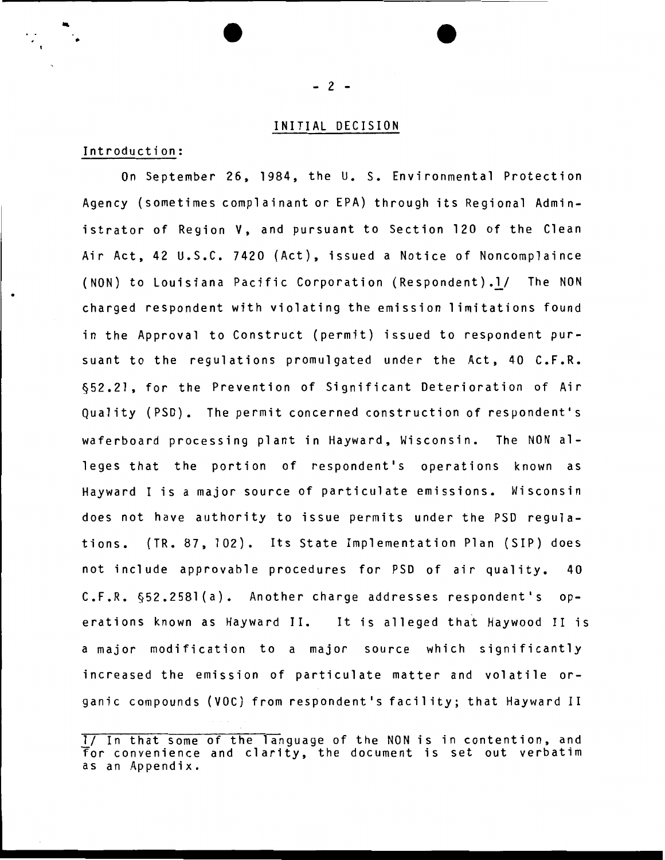# INITIAL DECISION

# Introduction:

•

On September 26, 1984, the U. S. Environmental Protection Agency {sometimes complainant or EPA) through its Regional Administrator of Region V, and pursuant to Section 120 of the Clean Air Act, 42 U.S.C. 7420 {Act), issued a Notice of Noncomplaince {NON) to louisiana Pacific Corporation (Respondent).l/ The NON charged respondent with violating the emission limitations found in the Approval to Construct {permit) issued to respondent pursuant to the regulations promulgated under the Act, 40 C.F.R. §52.21, for the Prevention of Significant Deterioration of Air Quality (PSD). The permit concerned construction of respondent's waferboard processing plant in Hayward, Wisconsin. The NON alleges that the portion of respondent's operations known as Hayward I is a major source of particulate emissions. Wisconsin does not have authority to issue permits under the PSD regulations. {TR. 87, 102). Its State Implementation Plan (SIP) does not include approvable procedures for PSD of air quality. 40 C.F.R. §52.2581(a). Another charge addresses respondent's operations known as Hayward II. It is alleged that Haywood II is a major modification to a major source which significantly increased the emission of particulate matter and volatile organic compounds (VOC) from respondent's facility; that Hayward II

<sup>1/</sup> In that some of the language of the NON is in contention, and for convenience and clarity, the document is set out verbatim as an Appendix.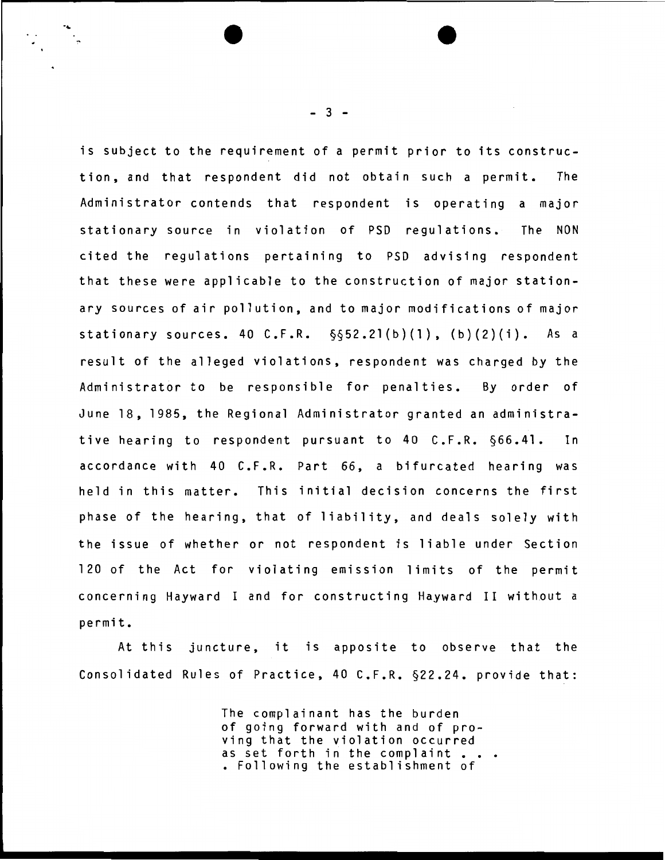is subject to the requirement of a permit prior to its construetion, and that respondent did not obtain such a permit. The Administrator contends that respondent is operating a major stationary source in violation of PSD regulations. The NON cited the regulations pertaining to PSD advising respondent that these were applicable to the construction of major stationary sources of air pollution, and to major modifications of major stationary sources. 40 C.F.R.  $\S52.21(b)(1)$ ,  $(b)(2)(i)$ . As a result of the alleged violations, respondent was charged by the Administrator to be responsible for penalties. By order of June 18, 1985, the Regional Administrator granted an administrative hearing to respondent pursuant to 40 C.F.R. §66.41. In accordance with 40 C.F.R. Part 66, a bifurcated hearing was held in this matter. This initial decision concerns the first phase of the hearing, that of liability, and deals solely with the issue of whether or not respondent is liable under Section 120 of the Act for violating emission limits of the permit concerning Hayward I and for constructing Hayward II without a permit.

At this juncture, it is apposite to observe that the Consolidated Rules of Practice, 40 C.F.R. §22.24. provide that:

> The complainant has the burden of going forward with and of proving that the violation occurred as set forth in the complaint. • Following the establishment of

 $-3 -$ 

·~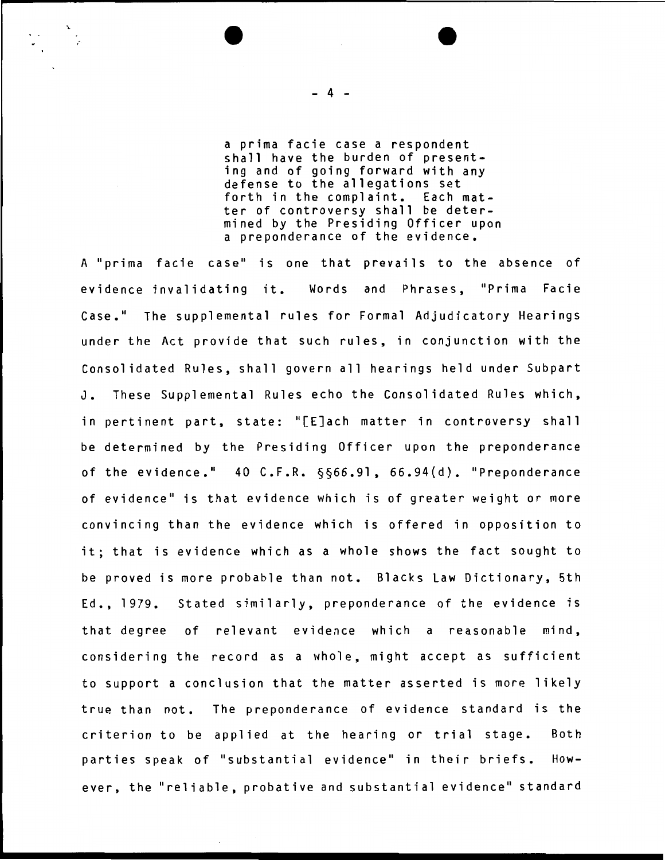a prima facie case a respondent shall have the burden of presenting and of going forward with any defense to the allegations set forth in the complaint. Each matter of controversy shall be determined by the Presiding Officer upon a preponderance of the evidence.

A "prima facie case" is one that prevails to the absence of evidence invalidating it. Words and Phrases, "Prima Facie Case." The supplemental rules for Formal Adjudicatory Hearings under the Act provide that such rules, in conjunction with the Consolidated Rules, shall govern all hearings held under Subpart J. These Supplemental Rules echo the Consolidated Rules which, in pertinent part, state: "[E]ach matter in controversy shall be determined by the Presiding Officer upon the preponderance of the evidence."  $40$  C.F.R.  $\S$  $\S66.91$ ,  $66.94(d)$ . "Preponderance of evidence" is that evidence which is of greater weight or more convincing than the evidence which is offered in opposition to it; that is evidence which as a whole shows the fact sought to be proved is more probable than not. Blacks Law Dictionary, 5th Ed., 1979. Stated similarly, preponderance of the evidence is that degree of relevant evidence which a reasonable mind, considering the record as a whole, might accept as sufficient to support a conclusion that the matter asserted is more likely true than not. The preponderance of evidence standard is the criterion to be applied at the hearing or trial stage. Both parties speak of "substantial evidence" in their briefs. However, the "reliable, probative and substantial evidence" standard

- 4 -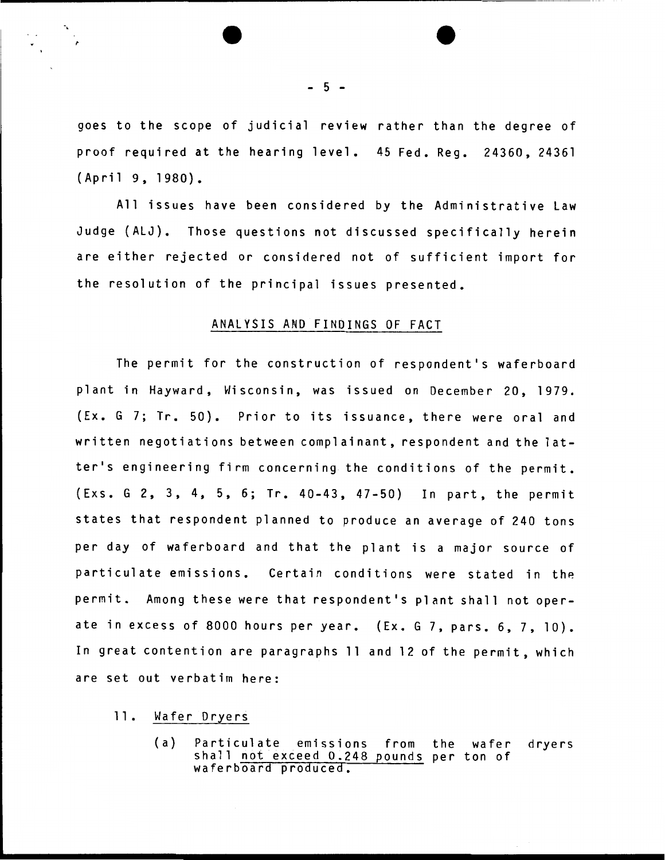goes to the scope of judicial review rather than the degree of proof required at the hearing level. 45 Fed. Reg. 24360, 24361 (April 9, 1980).

All issues have been considered by the Administrative Law Judge (ALJ). Those questions not discussed specifically herein are either rejected or considered not of sufficient import for the resolution of the principal issues presented.

#### ANALYSIS AND FINDINGS OF FACT

The permit for the construction of respondent's waferboard plant in Hayward, Hisconsin, was issued on December 20, 1979. {Ex. G 7; Tr. 50). Prior to its issuance, there were oral and written negotiations between complainant, respondent and the latter's engineering firm concerning the conditions of the permit. (Exs. G 2, 3, 4, 5, 6; Tr. 40-43, 47-50) In part, the permit states that respondent planned to produce an average of 240 tons per day of waferboard and that the plant is a major source of particulate emissions. Certain conditions were stated in the permit. Among these were that respondent's plant shall not operate in excess of 8000 hours per year. (Ex. G 7, pars. 6, 7, 10). In great contention are paragraphs 11 and 12 of the permit, which are set out verbatim here:

## 11. Wafer Dryers

-.

(a) Particulate emissions from the wafer dryers<br>shall not exceed 0.248 pounds per ton of waferboard produced.

 $-5 -$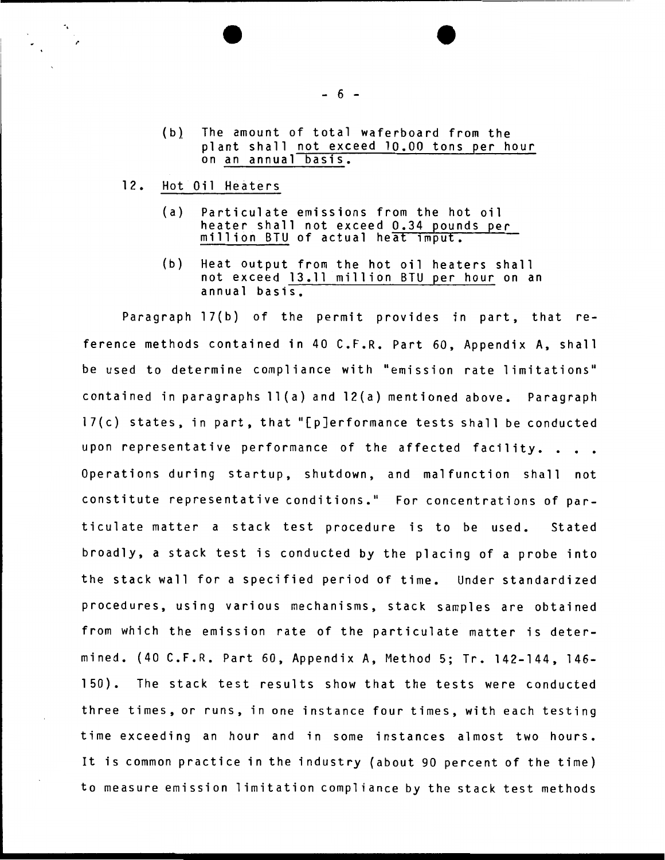- (b) The amount of total waferboard from the plant shall not exceed 10.00 tons per hour on an annual basis.
- 12. Hot Oil Heaters

·. *r* 

- (a) Particulate emissions from the hot oil heater shall not exceed 0.34 pounds per<br>million BTU of actual heat imput.
- (b) Heat output from the hot oil heaters shall not exceed 13.11 million BTU per hour on an annual basis.

Paragraph 17(b) of the permit provides in part, that reference methods contained in 40 C.F.R. Part 60, Appendix A, shall be used to determine compliance with "emission rate limitations" contained in paragraphs ll(a) and 12(a) mentioned above. Paragraph  $17(c)$  states, in part, that "[p]erformance tests shall be conducted upon representative performance of the affected facility.. Operations during startup, shutdown, and malfunction shall not constitute representative conditions." For concentrations of particulate matter a stack test procedure is to be used. Stated broadly, a stack test is conducted by the placing of a probe into the stack wall for a specified period of time. Under standardized procedures, using various mechanisms, stack samples are obtained from which the emission rate of the particulate matter is determined. (40 C.F.R. Part 60, Appendix A, Method 5; Tr. 142-144, 146- 150). The stack test results show that the tests were conducted three times, or runs, in one instance four times, with each testing time exceeding an hour and in some instances almost two hours. It is common practice in the industry (about 90 percent of the time) to measure emission limitation compliance by the stack test methods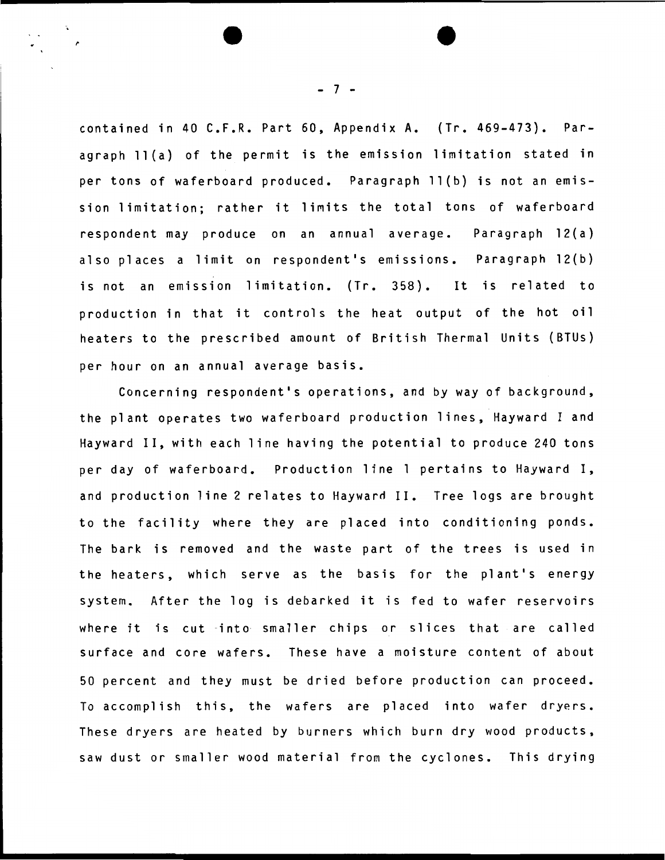contained in 40 C.F.R. Part 60, Appendix A. (Tr. 469-473). Paragraph 11(a) of the permit is the emission limitation stated in per tons of waferboard produced. Paragraph ll(b) is not an emission limitation; rather it limits the total tons of waferboard respondent may produce on an annual average. Paragraph 12(a) also places a limit on respondent's emissions. Paragraph 12(b) is not an emission limitation. (Tr. 358). It is related to production in that it controls the heat output of the hot oil heaters to the prescribed amount of British Thermal Units (BTUs) per hour on an annual average basis.

Concerning respondent's operations, and by way of background, the plant operates two waferboard production lines, Hayward I and Hayward II, with each line having the potential to produce 240 tons per day of waferboard. Production line 1 pertains to Hayward I, and production line 2 relates to Hayward II. Tree logs are brought to the facility where they are placed into conditioning ponds. The bark is removed and the waste part of the trees is used in the heaters, which serve as the basis for the plant's energy system. After the log is debarked it is fed to wafer reservoirs where it is cut into smaller chips or slices that are called surface and core wafers. These have a moisture content of about 50 percent and they must be dried before production can proceed. To accomplish this, the wafers are placed into wafer dryers. These dryers are heated by burners which burn dry wood products, saw dust or smaller wood material from the cyclones. This drying

- 7 -

.,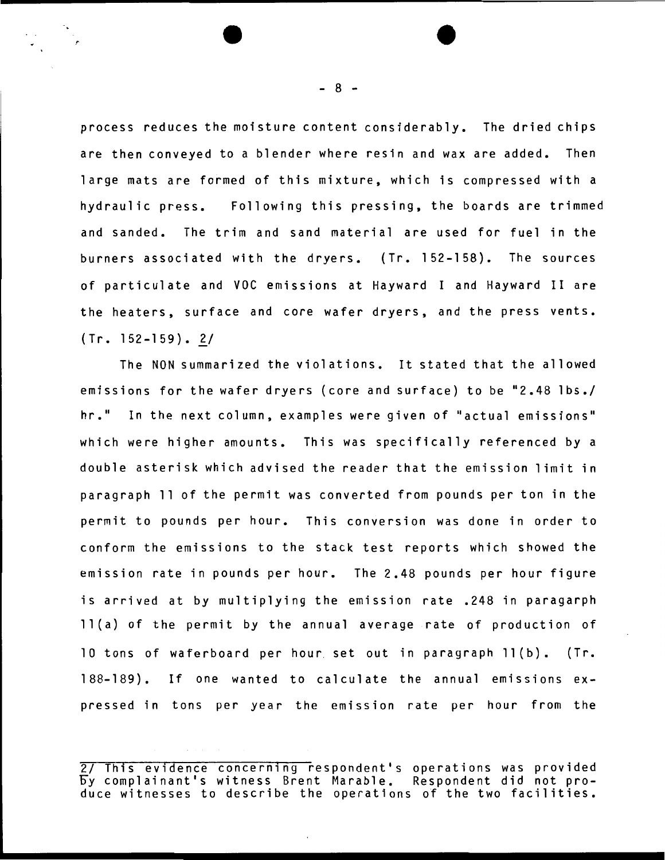process reduces the moisture content considerably. The dried chips are then conveyed to a blender where resin and wax are added. Then large mats are formed of this mixture, which is compressed with a hydraulic press. Following this pressing, the boards are trimmed and sanded. The trim and sand material are used for fuel in the burners associated with the dryers. (Tr. 152-158). The sources of particulate and VOC emissions at Hayward I and Hayward II are the heaters, surface and core wafer dryers, and the press vents.  $(Tr. 152-159)$ . 2/

The NON summarized the violations. It stated that the allowed emissions for the wafer dryers (core and surface) to be "2.48 lbs./ hr." In the next column, examples were given of "actual emissions" which were higher amounts. This was specifically referenced by a double asterisk which advised the reader that the emission limit in paragraph 11 of the permit was converted from pounds per ton in the permit to pounds per hour. This conversion was done in order to conform the emissions to the stack test reports which showed the emission rate in pounds per hour. The 2.48 pounds per hour figure is arrived at by multiplying the emission rate .248 in paragarph ll(a) of the permit by the annual average rate of production of 10 tons of waferboard per hour. set out in paragraph ll(b). (Tr. 188-189). If one wanted to calculate the annual emissions expressed in tons per year the emission rate per hour from the

2/ Th1s ev1dence concern1ng respondent's operations was provided oy complainant's witness Brent Marable. Respondent did not pro- duce witnesses to describe the operations of the two facilities.

- 8 -

,.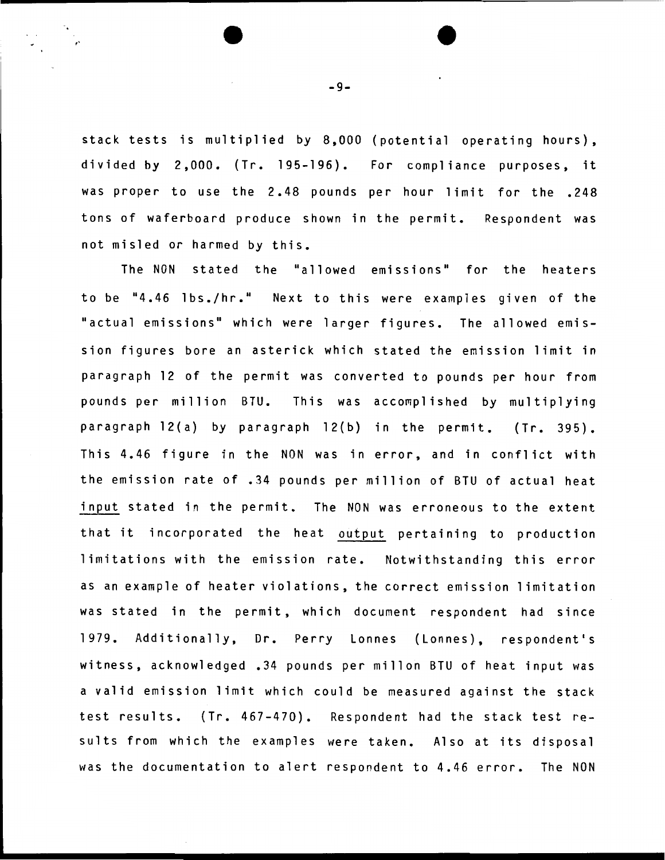stack tests is multiplied by 8.000 (potential operating hours). divided by 2.000. (Tr. 195-196). For compliance purposes. it was proper to use the 2.48 pounds per hour limit for the .248 tons of waferboard produce shown in the permit. Respondent was not misled or harmed by this.

The NON stated the "allowed emissions" for the heaters to be "4.46 lbs./hr." Next to this were examples given of the "actual emissions" which were larger figures. The allowed emission figures bore an asterick which stated the emission limit in paragraph 12 of the permit was converted to pounds per hour from pounds per million BTU. This was accomplished by multiplying paragraph 12(a) by paragraph 12(b) in the permit. (Tr. 395). This 4.46 figure in the NON was in error, and in conflict with the emission rate of .34 pounds per million of BTU of actual heat input stated in the permit. The NON was erroneous to the extent that it incorporated the heat output pertaining to production limitations with the emission rate. Notwithstanding this error as an example of heater violations, the correct emission limitation was stated in the permit, which document respondent had since 1979. Additionally, Dr. Perry Lonnes (Lonnes), respondent's witness, acknowledged .34 pounds per millon BTU of heat input was a valid emission limit which could be measured against the stack test results. (Tr. 467-470). Respondent had the stack test results from which the examples were taken. Also at its disposal was the documentation to alert respondent to 4.46 error. The NON

 $-9-$ 

,.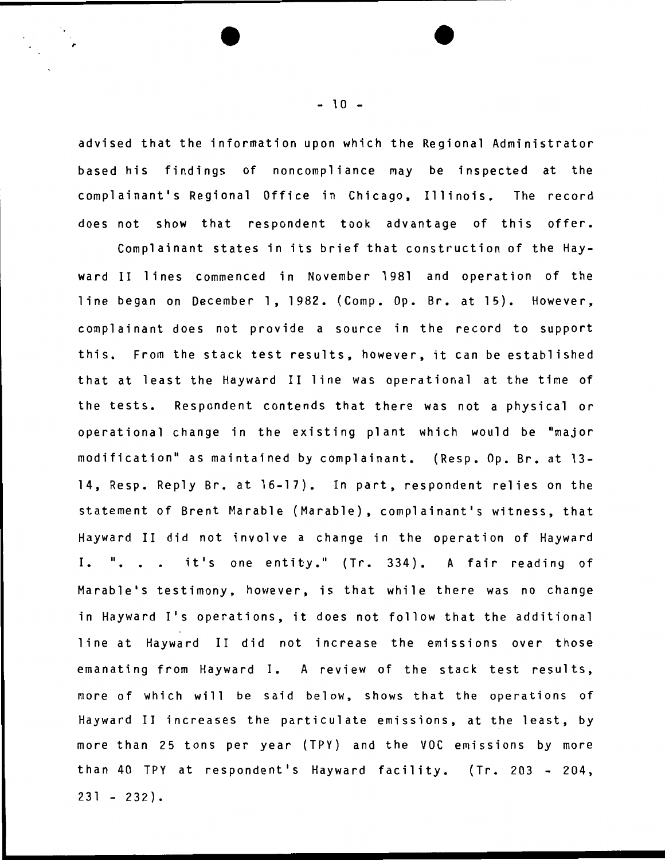advised that the information upon which the Regional Administrator based his findings of noncompliance may be inspected at the complainant's Regional Office in Chicago, Illinois. The record does not show that respondent took advantage of this offer.

Complainant states in its brief that construction of the Hayward II lines commenced in November 1981 and operation of the line began on December 1, 1982. (Comp. Op. Br. at 15). However, complainant does not provide a source in the record to support this. From the stack test results, however, it can be established that at least the Hayward II line was operational at the time of the tests. Respondent contends that there was not a physical or operational change in the existing plant which would be "major modification" as maintained by complainant. (Resp. Op. Br. at 13-14, Resp. Reply Br. at 16-17). In part, respondent relies on the statement of Brent Marable (Marable), complainant's witness, that Hayward II did not involve a change in the operation of Hayward I. ". . . it's one entity." (Tr. 334). A fair reading of Marable's testimony, however, is that while there was no change in Hayward I's operations, it does not follow that the additional line at Hayward II did not increase the emissions over those emanating from Hayward I. A review of the stack test results, more of which will be said below, shows that the operations of Hayward II increases the particulate emissions, at the least, by more than 25 tons per year (TPY) and the VOC emissions by more than 40 TPY at respondent's Hayward facility. (Tr. 203 - 204,  $231 - 232$ .

 $-10 -$ 

,.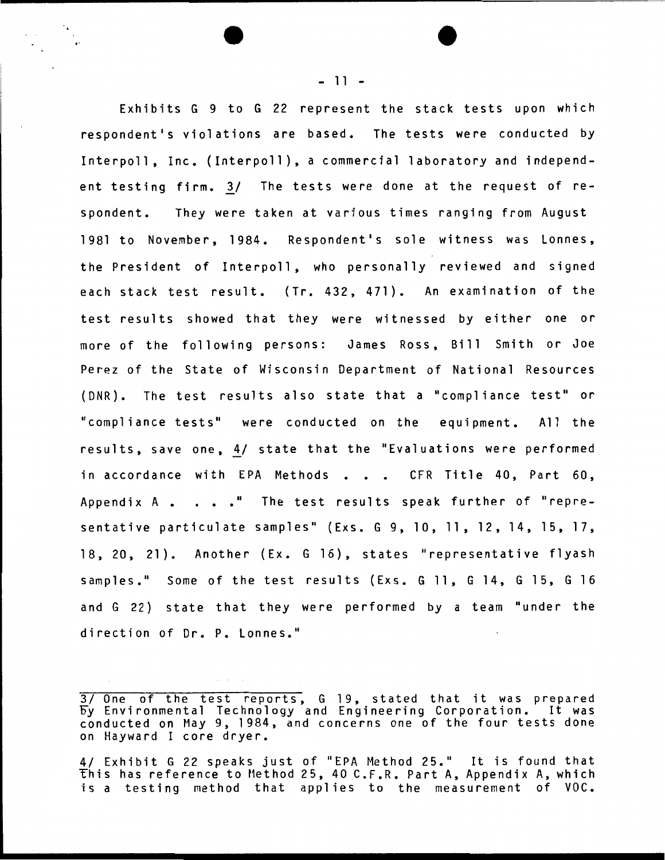Exhibits G 9 to G 22 represent the stack tests upon which respondent's violations are based. The tests were conducted by Interpoll, Inc. (Interpoll), a commercial laboratory and independent testing firm. 3/ The tests were done at the request of respondent. They were taken at various times ranging from August 1981 to November, 1984. Respondent's sole witness was Lonnes, the President of Interpoll, who personally reviewed and signed each stack test result. (Tr. 432, 471). An examination of the test results showed that they were witnessed by either one or more of the following persons: James Ross, Bill Smith or Joe Perez of the State of Wisconsin Department of National Resources (DNR). The test results also state that a "compliance test" or "compliance tests" were conducted on the equipment. All the results, save one, 4/ state that the "Evaluations were performed in accordance with EPA Methods . . . CFR Title 40, Part 60, Appendix  $A \cdot \cdot \cdot \cdot$ . The test results speak further of "representative particulate samples" (Exs. G 9, 10, 11, 12, 14, 15, 17, 18, 20, 21). Another (Ex. G 16), states "representative flyash samples." Some of the test results (Exs. G 11, G 14, G 15, G 16 and G 22) state that they were performed by a team "under the direction of Dr. P. Lonnes."

4/ Exhibit G 22 speaks just of "EPA Method 25." It is found that this has reference to Method 25, 40 C.F.R. Part A, Appendix A, which is a testing method that applies to the measurement of VOC.

- 11 -

<sup>3/</sup> One of the test reports, G 19, stated that it was prepared by Environmental Technology and Engineering Corporation. It was conducted on May 9, 1984, and concerns one of the four tests done on Hayward I core dryer.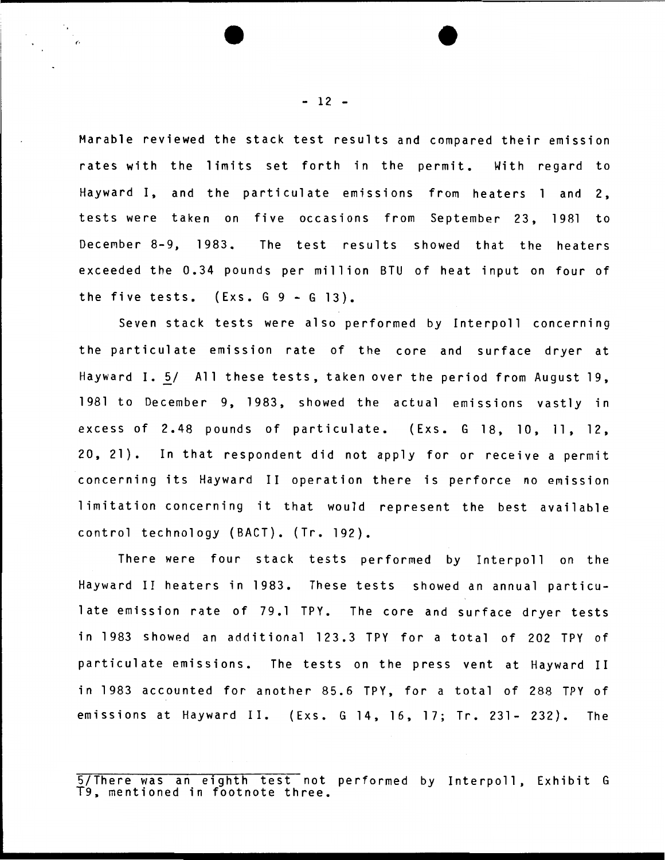Marable reviewed the stack test results and compared their emission rates with the limits set forth in the permit. With regard to Hayward I, and the particulate emissions from heaters 1 and 2, tests were taken on five occasions from September 23, 1981 to December 8-9, 1983. The test results showed that the heaters exceeded the 0.34 pounds per million BTU of heat input on four of the five tests.  $(Exs. G. 9 - G. 13)$ .

Seven stack tests were also performed by Interpoll concerning the particulate emission rate of the core and surface dryer at Hayward I. 5/ All these tests, taken over the period from August 19, 1981 to December 9, 1983, showed the actual emissions vastly in excess of 2.48 pounds of particulate. (Exs. G 18, 10, 11, 12, 20, 21). In that respondent did not apply for or receive a permit concerning its Hayward II operation there is perforce no emission limitation concerning it that would represent the best available control technology (BACT). (Tr. 192).

There were four stack tests performed by Interpoll on the Hayward II heaters in 1983. These tests showed an annual particulate emission rate of 79.1 TPY. The core and surface dryer tests in 1983 showed an additional 123.3 TPY for a total of 202 TPY of particulate emissions. The tests on the press vent at Hayward II in 1983 accounted for another 85.6 TPY, for a total of 288 TPY of emissions at Hayward II. (Exs. G 14, 16, 17; Tr. 231- 232). The

 $- 12 -$ 

<sup>5/</sup>There was an eighth test not performed by Interpoll, Exhibit G T9, mentioned in footnote three.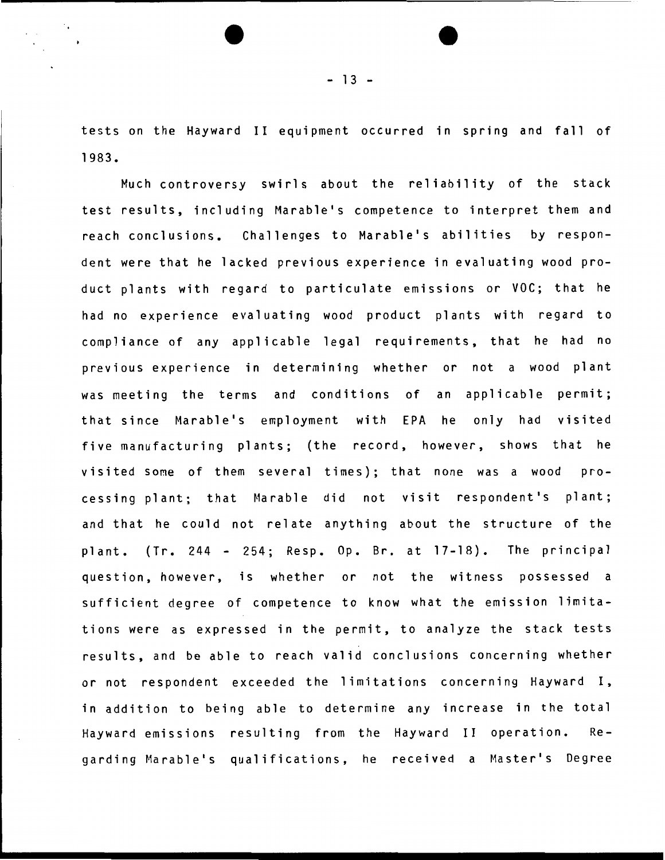tests on the Hayward II equipment occurred in spring and fall of 1983.

Much controversy swirls about the reliability of the stack test results, including Marable's competence to interpret them and reach conclusions. Challenges to Marable's abilities by respondent were that he lacked previous experience in evaluating wood product plants with regard to particulate emissions or VOC; that he had no experience evaluating wood product plants with regard to compliance of any applicable legal requirements, that he had no previous experience in determining whether or not a wood plant was meeting the terms and conditions of an applicable permit; that since Marable's employment with EPA he only had visited five manufacturing plants; (the record, however, shows that he visited some of them several times); that none was a wood processing plant; that Marable did not visit respondent's plant; and that he could not relate anything about the structure of the plant. (Tr. 244 - 254; Resp. Op. Br. at 17-18). The principal question, however, is whether or not the witness possessed a sufficient degree of competence to know what the emission limitations were as expressed in the permit, to analyze the stack tests results, and be able to reach valid conclusions concerning whether or not respondent exceeded the 1 imitations concerning Hayward I, in addition to being able to determine any increase in the total Hayward emissions resulting from the Hayward II operation. Regarding Marable's qualifications, he received a Master's Degree

 $- 13 -$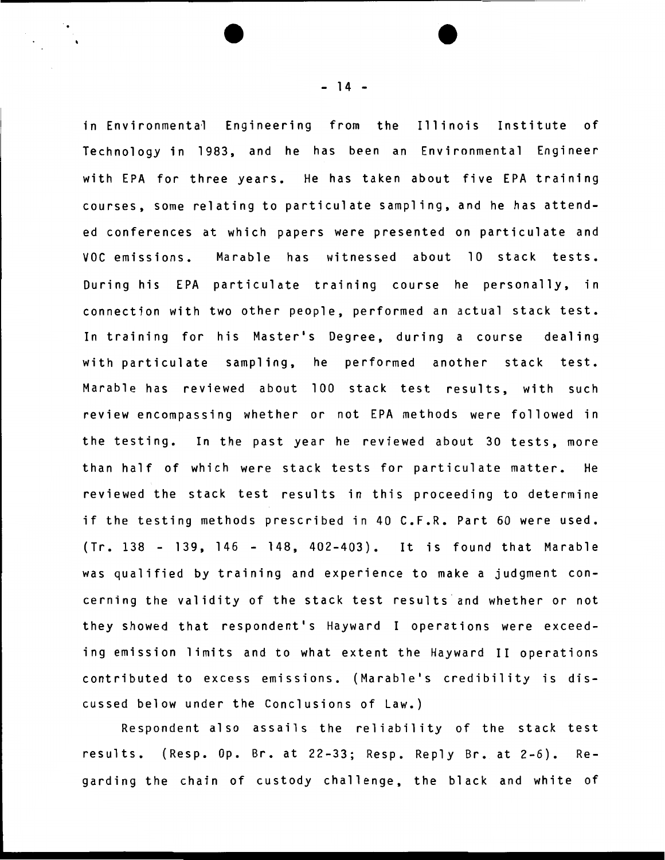in Environmental Engineering from the Illinois Institute of Technology in 1983, and he has been an Environmental Engineer with EPA for three years. He has taken about five EPA training courses, some relating to particulate sampling, and he has attended conferences at which papers were presented on particulate and VOC emissions. Marable has witnessed about 10 stack tests. During his EPA particulate training course he personally, in connection with two other people, performed an actual stack test. In training for his Master's Degree, during a course dealing with particulate sampling, he performed another stack test. Marable has reviewed about 100 stack test results, with such review encompassing whether or not EPA methods were followed in the testing. In the past year he reviewed about 30 tests, more than half of which were stack tests for particulate matter. He reviewed the stack test results in this proceeding to determine if the testing methods prescribed in 40 C.F.R. Part 60 were used. (Tr. 138 - 139, 146 - 148, 402-403). It is found that Marable was qualified by training and experience to make a judgment concerning the validity of the stack test results and whether or not they showed that respondent's Hayward I operations were exceeding emission limits and to what extent the Hayward II operations contributed to excess emissions. (Marable's credibility is discussed below under the Conclusions of Law.)

Respondent also assails the reliability of the stack test results. (Resp. Op. Br. at 22-33; Resp. Reply Br. at 2-6). Regarding the chain of custody challenge, the black and white of

- 14 -

..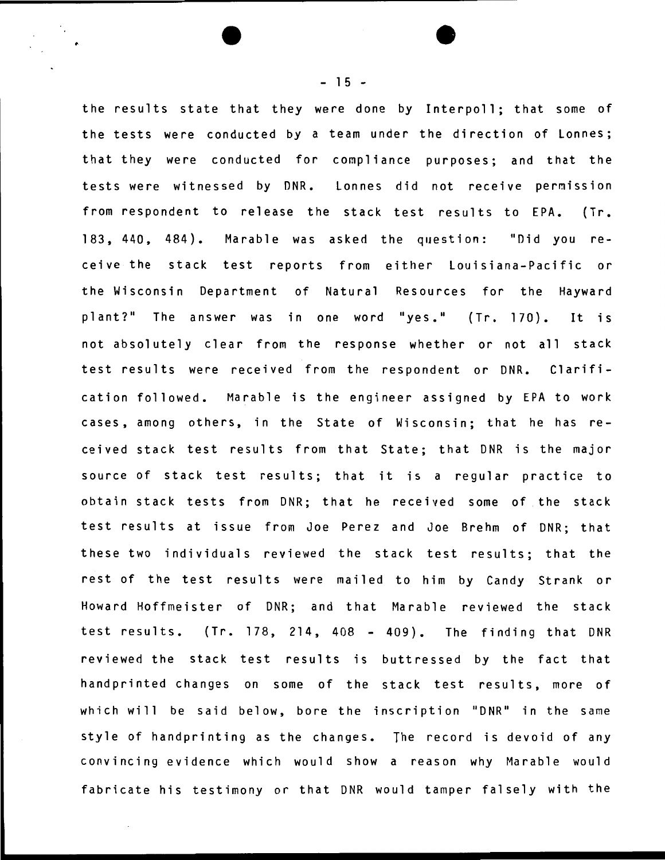the results state that they were done by Interpoll; that some of the tests were conducted by a team under the direction of Lonnes; that they were conducted for compliance purposes; and that the tests were witnessed by DNR. Lonnes did not receive permission from respondent to release the stack test results to EPA. (Tr. 183, 440, 484). Marable was asked the question: "Did you receive the stack test reports from either Louisiana-Pacific or the Wisconsin Department of Natural Resources for the Hayward plant?" The answer was in one word "yes." (Tr. 170). It is not absolutely clear from the response whether or not all stack test results were received from the respondent or DNR. Clarification followed. Marable is the engineer assigned by EPA to work cases, among others, in the State of Wisconsin; that he has received stack test results from that State; that DNR is the major source of stack test results; that it is a regular practice to obtain stack tests from DNR; that he received some of the stack test results at issue from Joe Perez and Joe Brehm of DNR; that these two individuals reviewed the stack test results; that the rest of the test results were mailed to him by Candy Strank or Howard Hoffmeister of DNR; and that Marable reviewed the stack test results. (Tr. 178, 214, 408 - 409). The finding that DNR reviewed the stack test results is buttressed by the fact that handprinted changes on some of the stack test results, more of which will be said below, bore the inscription "DNR" in the same style of handprinting as the changes. The record is devoid of any convincing evidence which would show a reason why Marable would fabricate his testimony or that DNR would tamper falsely with the

 $- 15 -$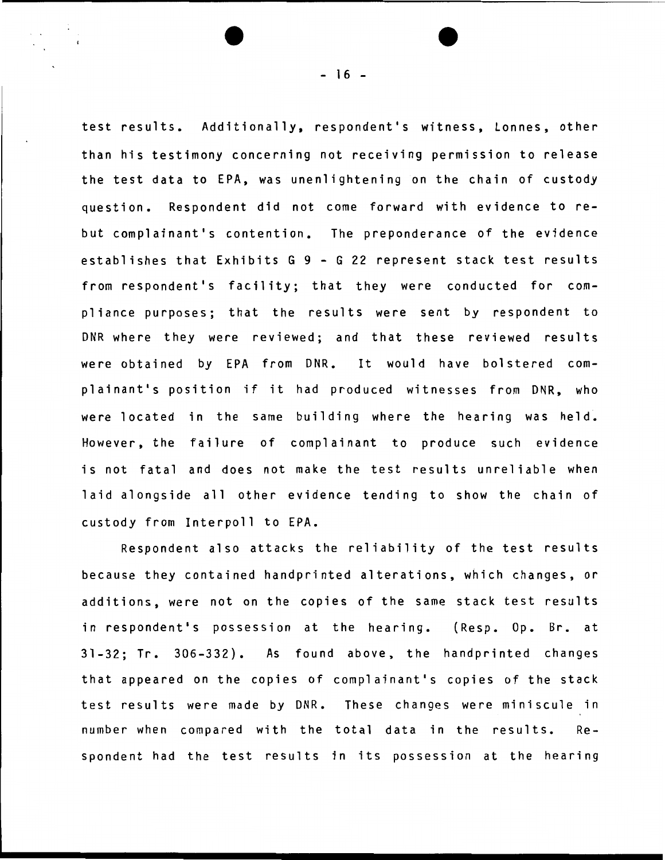test results. Additionally, respondent's witness, Lonnes, other than his testimony concerning not receiving permission to release the test data to EPA, was unenlightening on the chain of custody question. Respondent did not come forward with evidence to rebut complainant's contention. The preponderance of the evidence establishes that Exhibits G 9 - G 22 represent stack test results from respondent's facility; that they were conducted for compliance purposes; that the results were sent by respondent to DNR where they were reviewed; and that these reviewed results were obtained by EPA from DNR. It would have bolstered complainant's position if it had produced witnesses from DNR, who were located in the same building where the hearing was held. However, the failure of complainant to produce such evidence is not fatal and does not make the test results unreliable when laid alongside all other evidence tending to show the chain of custody from Interpoll to EPA.

Respondent also attacks the reliability of the test results because they contained handprinted alterations, which changes, or additions, were not on the copies of the same stack test results in respondent's possession at the hearing. (Resp. Op. Br. at 31-32; Tr. 306-332). As found above, the handprinted changes that appeared on the copies of complainant's copies of the stack test results were made by DNR. These changes were miniscule in number when compared with the total data in the results. Respondent had the test results in its possession at the hearing

 $- 16 -$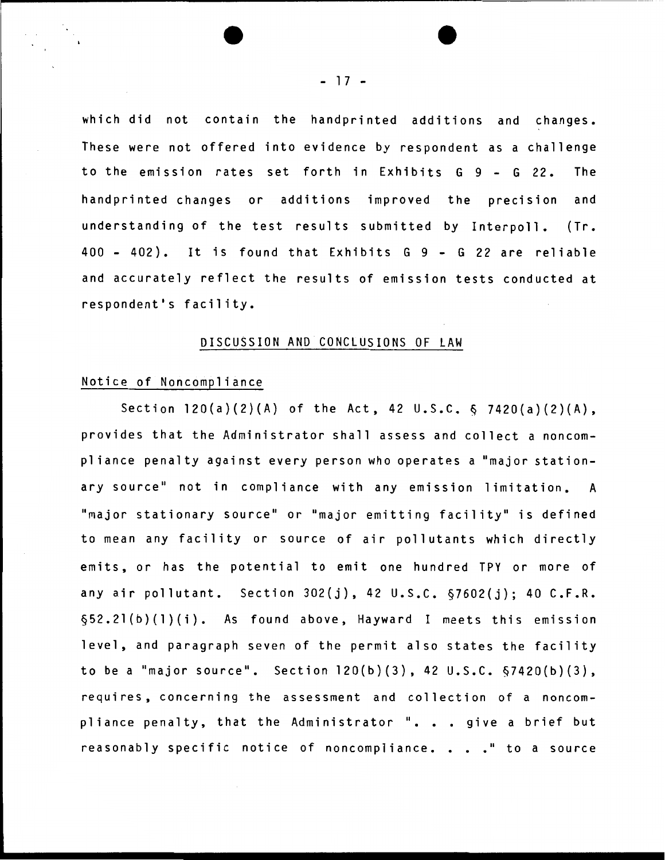which did not contain the handprinted additions and changes. These were not offered into evidence by respondent as a challenge to the emission rates set forth in Exhibits G 9- G 22. The handprinted changes or additions improved the precision and understanding of the test results submitted by Interpoll. (Tr. 400 - 402). It is found that Exhibits G 9 - G 22 are reliable and accurately reflect the results of emission tests conducted at respondent's facility.

### DISCUSSION AND CONCLUSIONS OF LAW

### Notice of Noncompliance

Section 120(a)(2)(A) of the Act, 42 u.s.c. & 7420(a)(2)(A), provides that the Administrator shall assess and collect a noncompliance penalty against every person who operates a "major stationary source" not in compliance with any emission limitation. A "major stationary source" or "major emitting facility" is defined to mean any facility or source of air pollutants which directly emits, or has the potential to emit one hundred TPY or more of any air pollutant. Section  $302(j)$ , 42 U.S.C.  $57602(j)$ ; 40 C.F.R. §52.2l(b}(l}(i). As found above, Hayward I meets this emission level, and paragraph seven of the permit also states the facility to be a "major source". Section  $120(b)(3)$ , 42 U.S.C.  $\S$ 7420(b)(3), requires, concerning the assessment and collection of a noncompliance penalty, that the Administrator ". . . give a brief but reasonably specific notice of noncompliance. . . . " to a source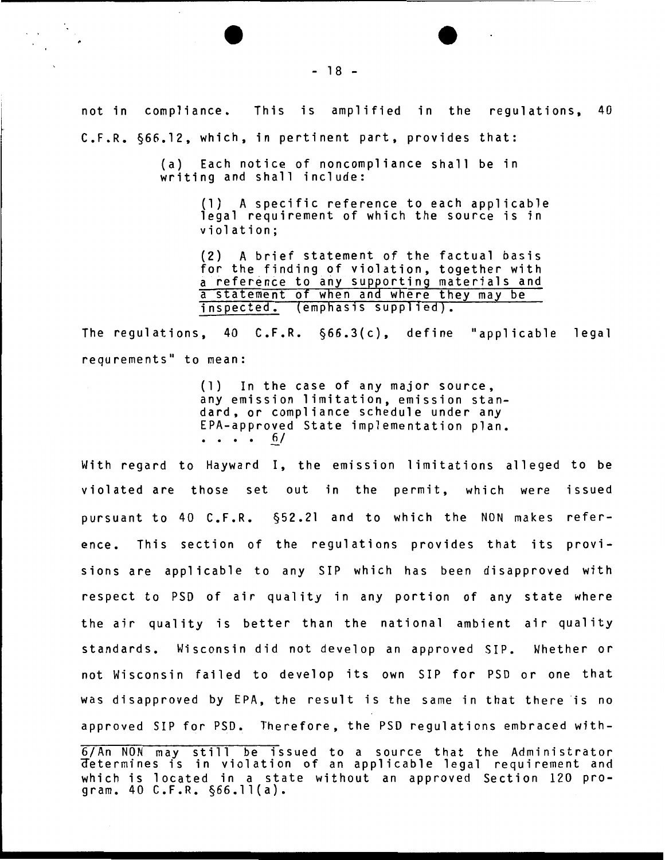not in compliance. This is amplified in the regulations, 40 C.F.R. §66.12, which, in pertinent part, provides that:

> (a) Each notice of noncompliance shall be in writing and shall include:

> > (1) A specific reference to each applicable legal requirement of which the source is in violation;

(2) A brief statement of the factual basis for the finding of violation, together with a reference to any supporting materials and a statement of when and where they may be inspected. (emphasis supplied).

The regulations, 40 C.F.R. §66.3(c), define "applicable legal requrements" to mean:

> (1) In the case of any major source, any emission limitation, emission standard, or compliance schedule under any EPA-approved State implementation plan.<br>. . . . 6/

With regard to Hayward I, the emission limitations alleged to be violated are those set out in the permit, which were issued pursuant to 40 C.F.R. §52.21 and to which the NON makes reference. This section of the regulations provides that its provisions are applicable to any SIP which has been disapproved with respect to PSD of air quality in any portion of any state where the air quality is better than the national ambient air quality standards. Wisconsin did not develop an approved SIP. Whether or not Wisconsin failed to develop its own SIP for PSO or one that was disapproved by EPA, the result is the same in that there is no approved SIP for PSD. Therefore, the PSD regulations embraced with-

6/An NON may still be issued to a source that the Administrator aetermines is in violation of an applicable legal requirement and which is located in a state without an approved Section 120 program. 40 C.F.R. §66.ll(a).

- 18 -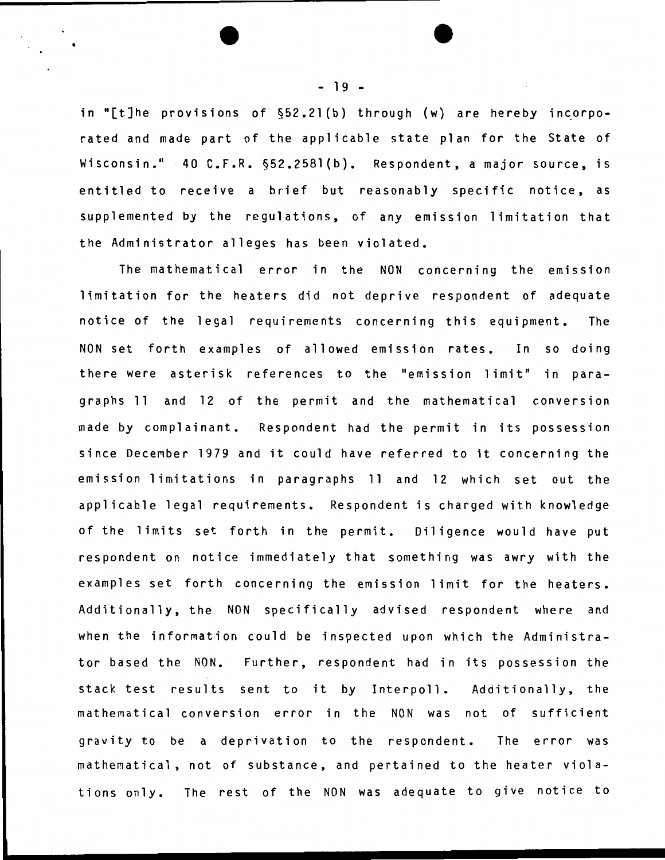in "[t]he provisions of  $\S 52.21(b)$  through (w) are hereby incorporated and made part of the applicable state plan for the State of Wisconsin." 40 C.F.R. §52.2581(b). Respondent, a major source, is entitled to receive a brief but reasonably specific notice, as supplemented by the regulations, of any emission limitation that the Administrator alleges has been violated.

The mathematical error in the NON concerning the emission limitation for the heaters did not deprive respondent of adequate notice of the legal requirements concerning this equipment. The NON set forth examples of allowed emission rates. In so doing there were asterisk references to the "emission limit" in paragraphs 11 and 12 of the permit and the mathematical conversion made by complainant. Respondent had the permit in its possession since December 1979 and it could have referred to it concerning the emission limitations in paragraphs 11 and 12 which set out the applicable legal requirements. Respondent is charged with knowledge of the limits set forth in the permit. Oil igence would have put respondent on notice immediately that something was awry with the examples set forth concerning the emission limit for the heaters. Additionally, the NON specifically advised respondent where and when the information could be inspected upon which the Administrator based the NON. Further, respondent had in its possession the stack test results sent to it by Interpoll. Additionally, the mathematical conversion error in the NON was not of sufficient gravity to be a deprivation to the respondent. The error was mathematical, not of substance, and pertained to the heater violations only. The rest of the NON was adequate to give notice to

•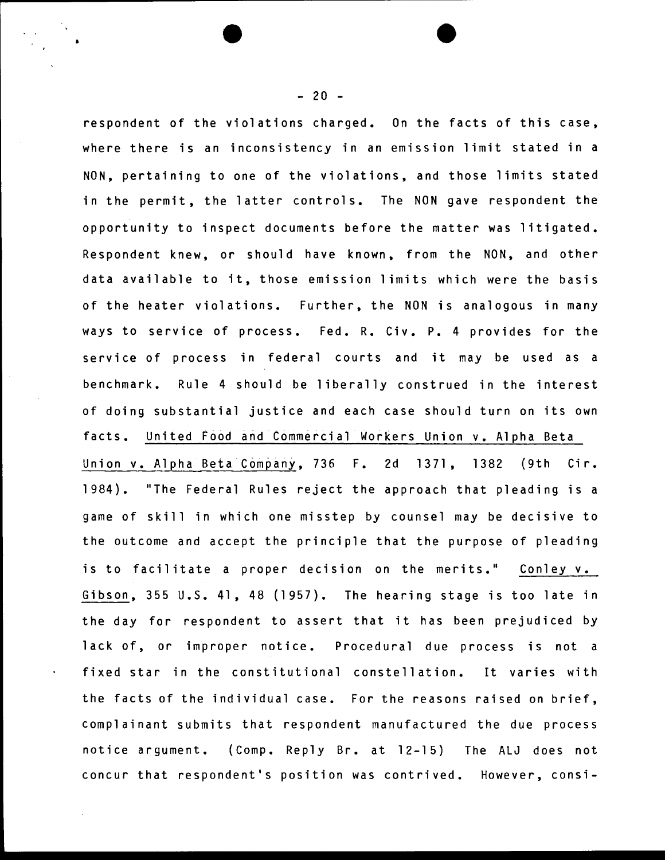respondent of the violations charged. On the facts of this case, where there is an inconsistency in an emission limit stated in a NON, pertaining to one of the violations, and those limits stated in the permit, the latter controls. The NON gave respondent the opportunity to inspect documents before the matter was litigated. Respondent knew, or should have known, from the NON, and other data available to it, those emission limits which were the basis of the heater violations. Further, the NON is analogous in many ways to service of process. Fed. R. Civ. P. 4 provides for the service of process in federal courts and it may be used as a benchmark. Rule 4 should be liberally construed in the interest of doing substantial justice and each case should turn on its own facts. United Food and Commercial Workers Union v. Alpha Beta Union v. Alpha Beta Company, 736 F. 2d 1371, 1382 (9th Cir. 1984). "The Federal Rules reject the approach that pleading is a game of skill in which one misstep by counsel may be decisive to the outcome and accept the principle that the purpose of pleading is to facilitate a proper decision on the merits." Conley v. Gibson, 355 U.S. 41, 48 (1957). The hearing stage is too late in the day for respondent to assert that it has been prejudiced by lack of, or improper notice. Procedural due process is not a fixed star in the constitutional constellation. It varies with the facts of the individual case. For the reasons raised on brief, complainant submits that respondent manufactured the due process notice argument. (Comp. Reply Br. at 12-15) The ALJ does not concur that respondent's position was contrived. However, consi-

 $- 20 -$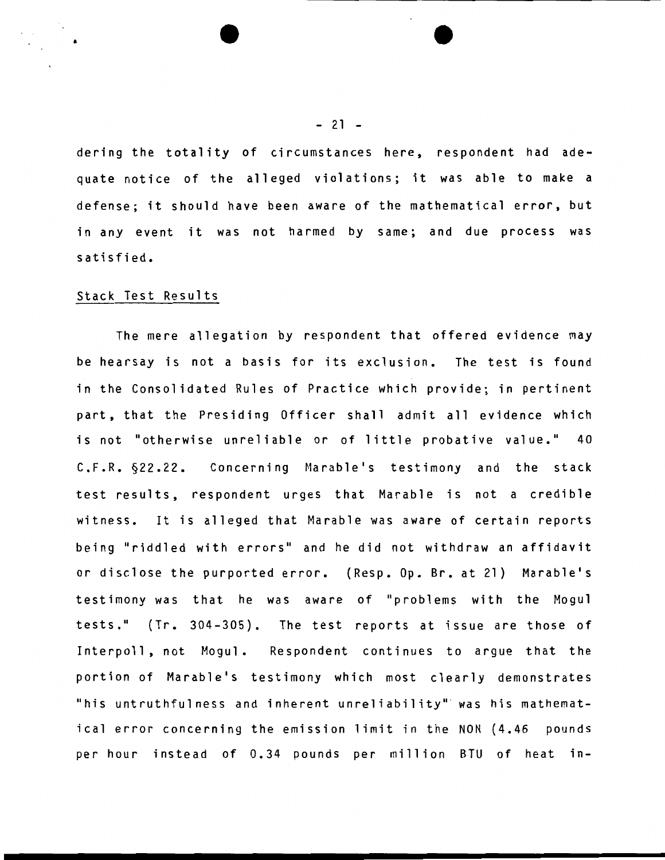dering the totality of circumstances here, respondent had adequate notice of the alleged violations; it was able to make a defense; it should have been aware of the mathematical error, but in any event it was not harmed by same; and due process was satisfied.

#### Stack Test Results

The mere allegation by respondent that offered evidence may be hearsay is not a basis for its exclusion. The test is found in the Consolidated Rules of Practice which provide; in pertinent part, that the Presiding Officer shall admit all evidence which is not "otherwise unreliable or of little probative value." 40 C.F.R. §22.22. Concerning Marable's testimony and the stack test results, respondent urges that Marable is not a credible witness. It is alleged that Marable was aware of certain reports being "riddled with errors" and he did not withdraw an affidavit or disclose the purported error. (Resp. Op. Br. at 21) Marable's testimony was that he was aware of "problems with the Mogul tests." (Tr. 304-305). The test reports at issue are those of Interpoll, not Mogul. Respondent continues to argue that the portion of Marable's testimony which most clearly demonstrates "his untruthfulness and inherent unreliability" was his mathematical error concerning the emission limit in the NON (4.46 pounds per hour instead of 0.34 pounds per million BTU of heat in-

#### $-21 -$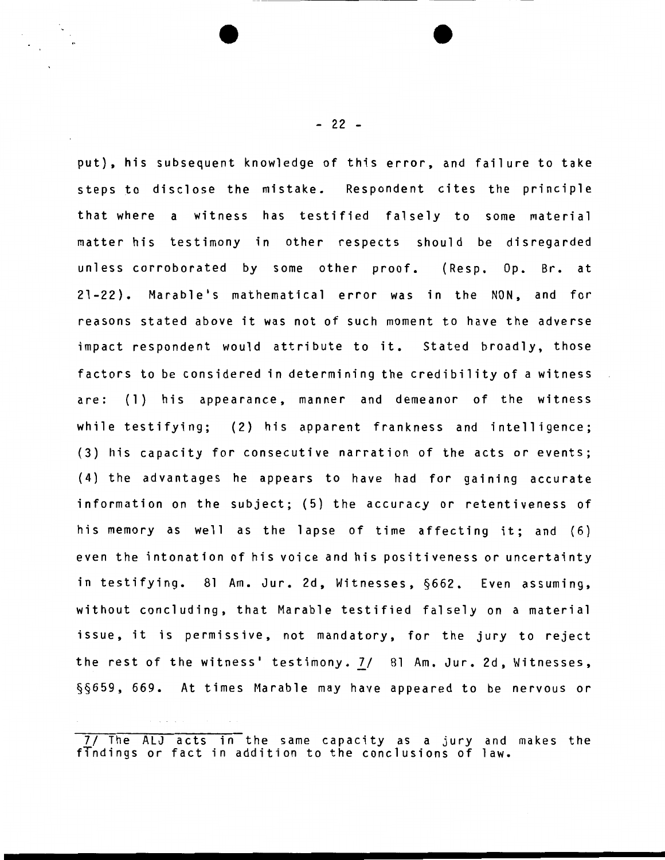put), his subsequent knowledge of this error, and failure to take steps to disclose the mistake. Respondent cites the principle that where a witness has testified falsely to some material matter his testimony in other respects should be disregarded unless corroborated by some other proof. (Resp. Op. Br. at 21-22). Marable's mathematical error was in the NON, and for reasons stated above it was not of such moment to have the adverse impact respondent would attribute to it. Stated broadly, those factors to be considered in determining the credibility of a witness are: (1) his appearance, manner and demeanor of the witness while testifying; (2) his apparent frankness and intelligence; (3) his capacity for consecutive narration of the acts or events; (4) the advantages he appears to have had for gaining accurate information on the subject; (5) the accuracy or retentiveness of his memory as well as the lapse of time affecting it; and (6) even the intonation of his voice and his positiveness or uncertainty in testifying. 81 Am. Jur. 2d, Witnesses, §662. Even assuming, without concluding, that Marable testified falsely on a material issue, it is permissive, not mandatory, for the jury to reject the rest of the witness' testimony. 7/ 81 Am. Jur. 2d, Witnesses, §§659, 669. At times Marable may have appeared to be nervous or

 $- 22 -$ 

*<sup>71</sup>* The ALJ acts in the same capacity as a jury and makes the findings or fact in addition to the conclusions of law.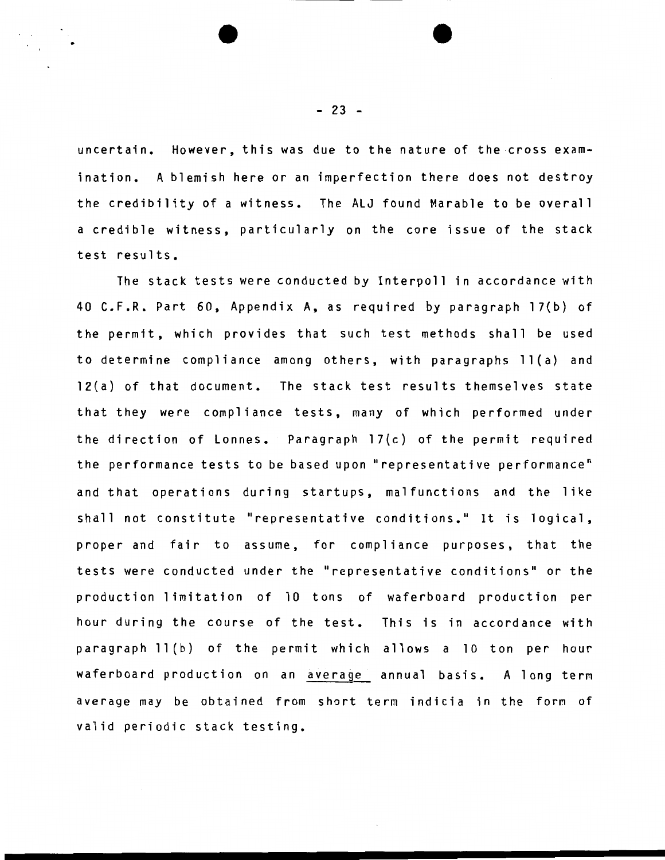uncertain. However, this was due to the nature of the cross examination. A blemish here or an imperfection there does not destroy the credibility of a witness. The ALJ found Marable to be overall a credible witness, particularly on the core issue of the stack test results.

The stack tests were conducted by Interpoll in accordance with 40 C.F.R. Part 60, Appendix A, as required by paragraph 17(b) of the permit, which provides that such test methods shall be used to determine compliance among others, with paragraphs 11 (a) and 12(a) of that document. The stack test results themselves state that they were compliance tests, many of which performed under the direction of Lonnes. Paragraph 17(c) of the permit required the performance tests to be based upon "representative performance" and that operations during startups, malfunctions and the like shall not constitute "representative conditions." It is logical, proper and fair to assume, for compliance purposes, that the tests were conducted under the "representative conditions" or the production limitation of 10 tons of waferboard production per hour during the course of the test. This is in accordance with paragraph ll(b) of the permit which allows a 10 ton per hour waferboard production on an average annual basis. A long term average may be obtained from short term indicia in the form of valid periodic stack testing.

 $- 23 -$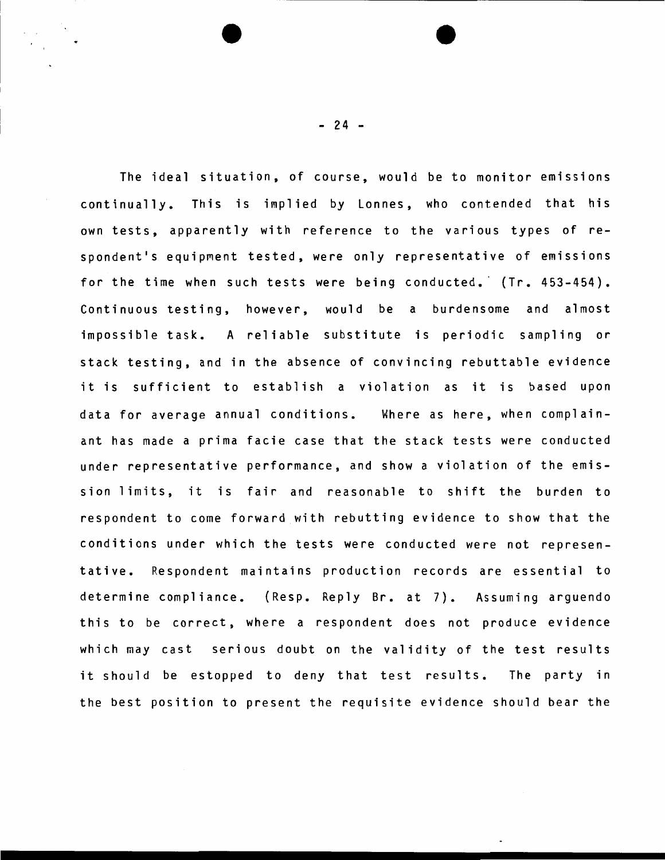The ideal situation, of course, would be to monitor emissions continually. This is implied by Lonnes, who contended that his own tests, apparently with reference to the various types of respondent's equipment tested, were only representative of emissions for the time when such tests were being conducted. (Tr. 453-454). Continuous testing, however, would be a burdensome and almost impossible task. A reliable substitute is periodic sampling or stack testing, and in the absence of convincing rebuttable evidence it is sufficient to establish a violation as it is based upon data for average annual conditions. Where as here, when complainant has made a prima facie case that the stack tests were conducted under representative performance, and show a violation of the emission limits, it is fair and reasonable to shift the burden to respondent to come forward with rebutting evidence to show that the conditions under which the tests were conducted were not representative. Respondent maintains production records are essential to determine compliance. (Resp. Reply Br. at 7). Assuming arguendo this to be correct, where a respondent does not produce evidence which may cast serious doubt on the validity of the test results it should be estopped to deny that test results. The party in the best position to present the requisite evidence should bear the

- 24 -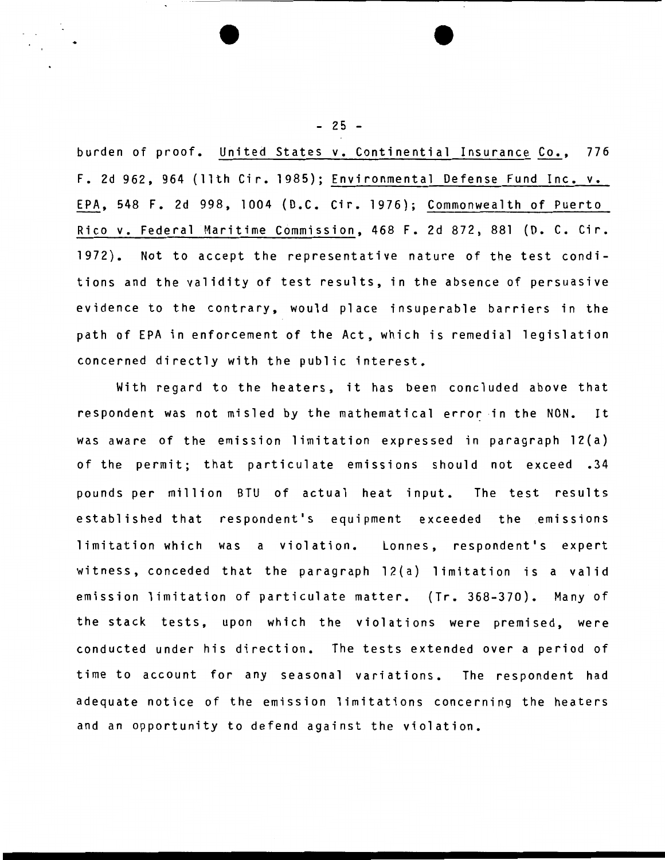burden of proof. United States v. Continential Insurance Co., 776 F. 2d 962, 964 (11th Cir. 1985); Environmental Defense Fund Inc. v. EPA, 548 F. 2d 998, 1004 (D.C. Cir. 1976); Commonwealth of Puerto Rico v. Federal Maritime Commission, 468 F. 2d 872, 881 (D. C. Cir. 1972). Not to accept the representative nature of the test conditions and the validity of test results, in the absence of persuasive evidence to the contrary, would place insuperable barriers in the path of EPA in enforcement of the Act, which is remedial legislation concerned directly with the public interest.

With regard to the heaters, it has been concluded above that respondent was not misled by the mathematical error in the NON. It was aware of the emission limitation expressed in paragraph 12(a) of the permit; that particulate emissions should not exceed .34 pounds per million BTU of actual heat input. The test results established that respondent's equipment exceeded the emissions limitation which was a violation. Lonnes, respondent's expert witness, conceded that the paragraph 12(a) limitation is a valid emission limitation of particulate matter. (Tr. 368-370). Many of the stack tests, upon which the violations were premised, were conducted under his direction. The tests extended over a period of time to account for any seasonal variations. The respondent had adequate notice of the emission limitations concerning the heaters and an opportunity to defend against the violation.

 $- 25 -$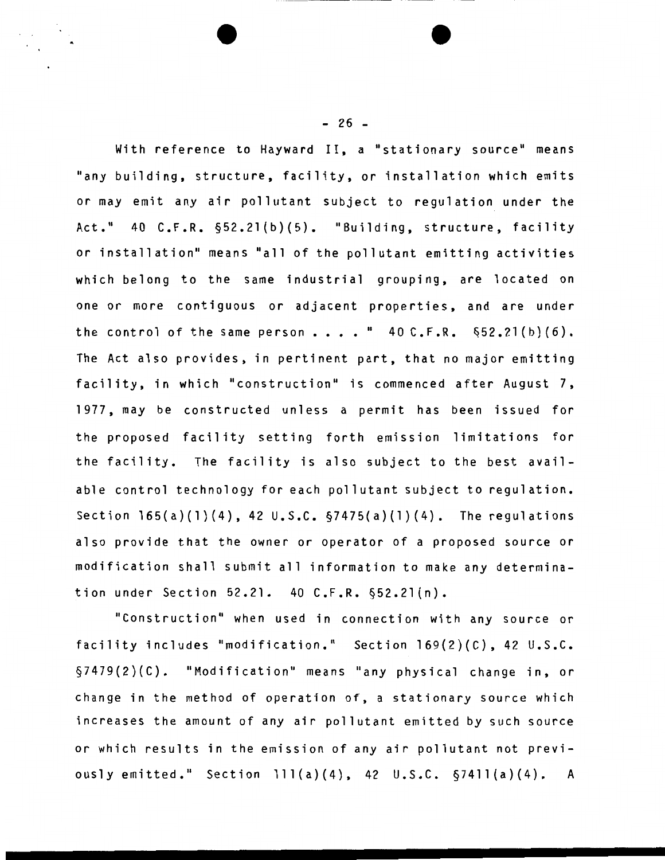With reference to Hayward II, a "stationary source" means "any building, structure, facility, or installation which emits or may emit any air pollutant subject to regulation under the Act." 40 C.F.R. §52.2l(b)(5). "Building, structure, facility or installation" means "all of the pollutant emitting activities which belong to the same industrial grouping, are located on one or more contiguous or adjacent properties, and are under the control of the same person  $\ldots$  . " 40 C.F.R.  $\S 52.21(b)(6)$ . The Act also provides, in pertinent part, that no major emitting facility, in which "construction" is commenced after August 7, 1977, may be constructed unless a permit has been issued for the proposed facility setting forth emission limitations for the facility. The facility is also subject to the best available control technology for each pollutant subject to regulation. Section 165(a)(l)(4), 42 U.S.C. §7475(a)(1)(4). The regulations also provide that the owner or operator of a proposed source or modification shall submit all information to make any determination under Section 52.21. 40 C.F.R. §52.2l{n).

"Construction" when used in connection with any source or facility includes "modification." Section 169(2)(C), 42 U.S.C. §7479(2)(C). "Modification" means "any physical change in, or change in the method of operation of, a stationary source which increases the amount of any air pollutant emitted by such source or which results in the emission of any air pollutant not previously emitted." Section 111(a)(4), 42 U.S.C.  $\S 7411(a)(4)$ . A

 $- 26 -$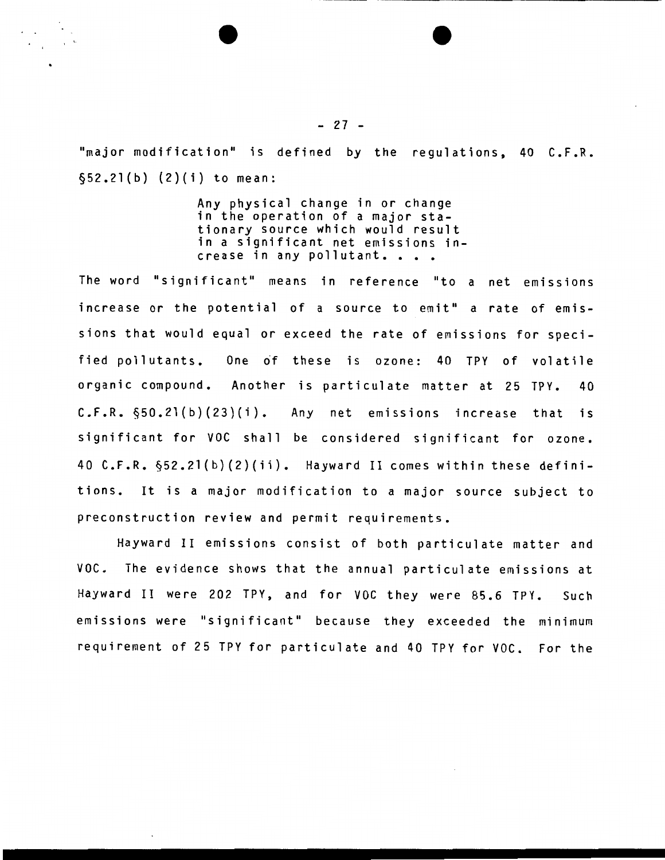"major modification" is defined by the regulations, 40 C.F.R. §52.2l(b) (2)(i) to mean:

> Any physical change in or change in the operation of a major stationary source which would result in a significant net emissions in-crease in any pollutant ••••

The word "significant" means in reference "to a net emissions increase or the potential of a source to emit" a rate of emissions that would equal or exceed the rate of emissions for specified pollutants. One of these is ozone: 40 TPY of volatile organic compound. Another is particulate matter at 25 TPY. 40 C.F.R. §50.2l(b)(23)(i). Any net emissions increase that is significant for VOC shall be considered significant for ozone. 40 C.F.R. §52.2l(b)(2)(ii). Hayward II comes within these definitions. It is a major modification to a major source subject to preconstruction review and permit requirements.

Hayward II emissions consist of both particulate matter and VOC. The evidence shows that the annual particulate emissions at Hayward II were 202 TPY, and for VOC they were 85.6 TPY. Such emissions were "significant" because they exceeded the minimum requirement of 25 TPY for particulate and 40 TPY for VOC. For the

 $- 27 -$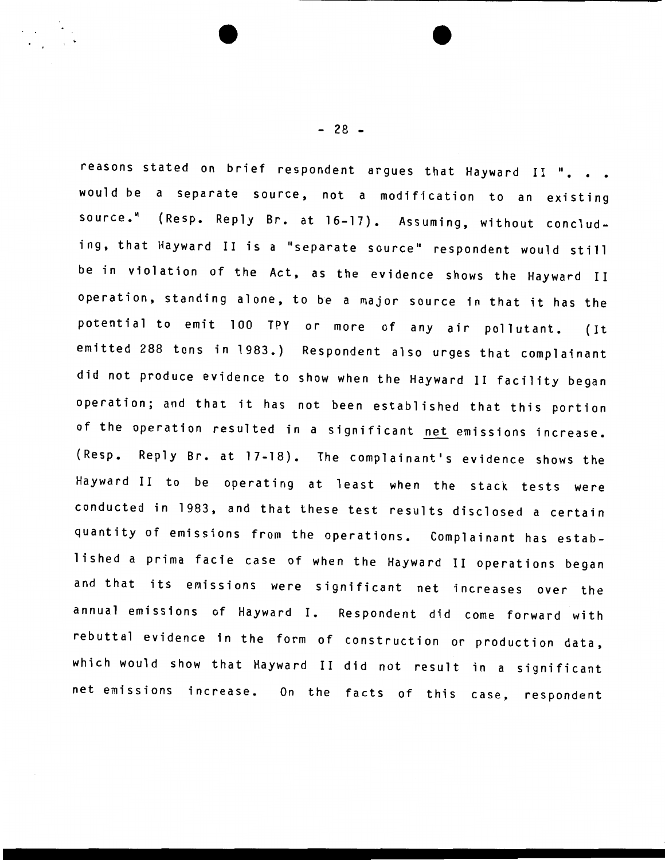reasons stated on brief respondent argues that Hayward II ". . . would be a separate source, not a modification to an existing source." (Resp. Reply Br. at 16-17). Assuming, without concluding, that Hayward II is a "separate source" respondent would still be in violation of the Act, as the evidence shows the Hayward II operation, standing alone, to be a major source in that it has the potential to emit 100 TPY or more of any air pollutant. (It emitted 288 tons in 1983.) Respondent also urges that complainant did not produce evidence to show when the Hayward II facility began operation; and that it has not been established that this portion of the operation resulted in a significant net emissions increase. (Resp. Reply Br. at 17-18). The complainant's evidence shows the Hayward II to be operating at least when the stack tests were conducted in 1983, and that these test results disclosed a certain quantity of emissions from the operations. Complainant has established a prima facie case of when the Hayward II operations began and that its emissions were significant net increases over the annual emissions of Hayward I. Respondent did come forward with rebuttal evidence in the form of construction or production data, which would show that Hayward II did not result in a significant net emissions increase. On the facts of this case, respondent

 $- 28 -$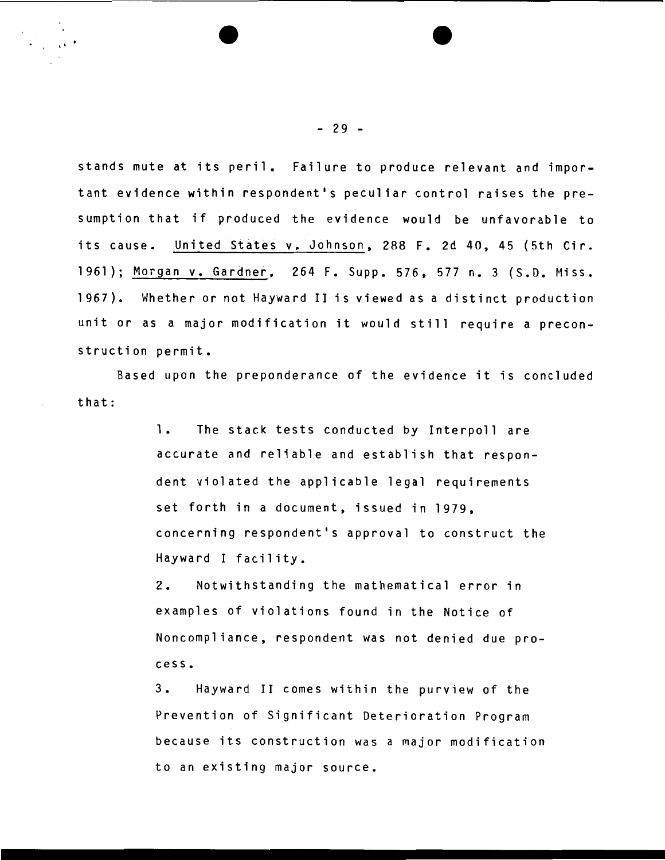stands mute at its peril. Failure to produce relevant and important evidence within respondent's peculiar control raises the presumption that if produced the evidence would be unfavorable to its cause. United States v. Johnson, 288 F. 2d 40, 45 (5th Cir. 1961); Morgan v. Gardner. 264 F. Supp. 576. 577 n. 3 (S.D. Miss. 1967). Whether or not Hayward II is viewed as a distinct production unit or as a major modification it would still require a preconstruction permit.

that: Based upon the preponderance of the evidence it is concluded

> 1. The stack tests conducted by Interpoll are accurate and reliable and establish that respondent violated the applicable legal requirements set forth in a document. issued in 1979. concerning respondent's approval to construct the Hayward I facility.

> 2. Notwithstanding the mathematical error in examples of violations found in the Notice of Noncompliance. respondent was not denied due process.

> 3. Hayward II comes within the purview of the Prevention of Significant Deterioration Program because its construction was a major modification to an existing major source.

. '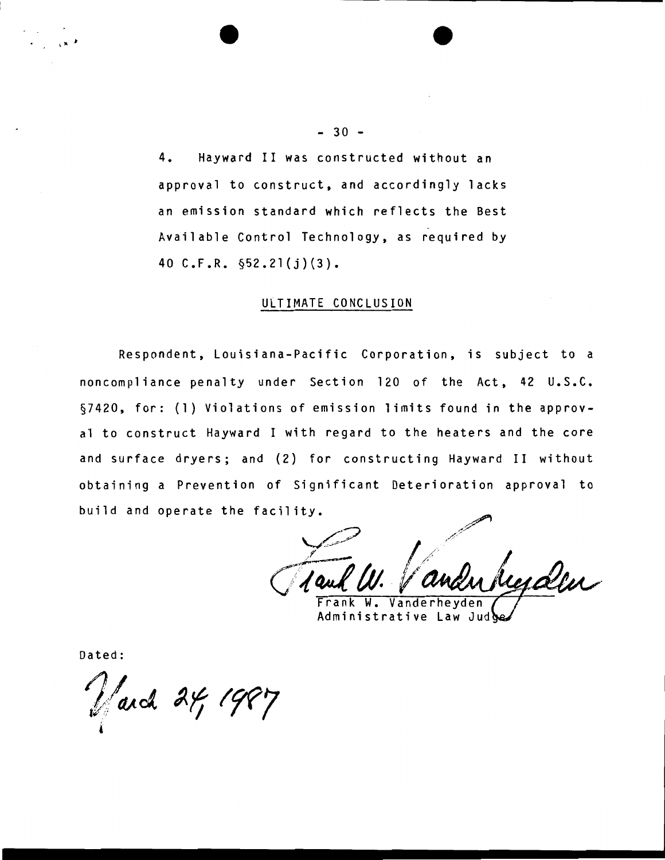4. Hayward II was constructed without an approval to construct, and accordingly lacks an emission standard which reflects the Best Available Control Technology, as required by 40 C.F.R. §52.2l(j)(3).

## ULTIMATE CONCLUSION

Respondent, Louisiana-Pacific Corporation, is subject to a noncompliance penalty under Section 120 of the Act, 42 U.S.C. §7420, for: (1) Violations of emission limits found in the approval to construct Hayward I with regard to the heaters and the core and surface dryers; and (2) for constructing Hayward II without obtaining a Prevention of Significant Deterioration approval to build and operate the facility.

Vanderheyden

Administrative Law Jud

Dated:

I" <sup>t</sup>

 $\sqrt{ax^2 + 4987}$ «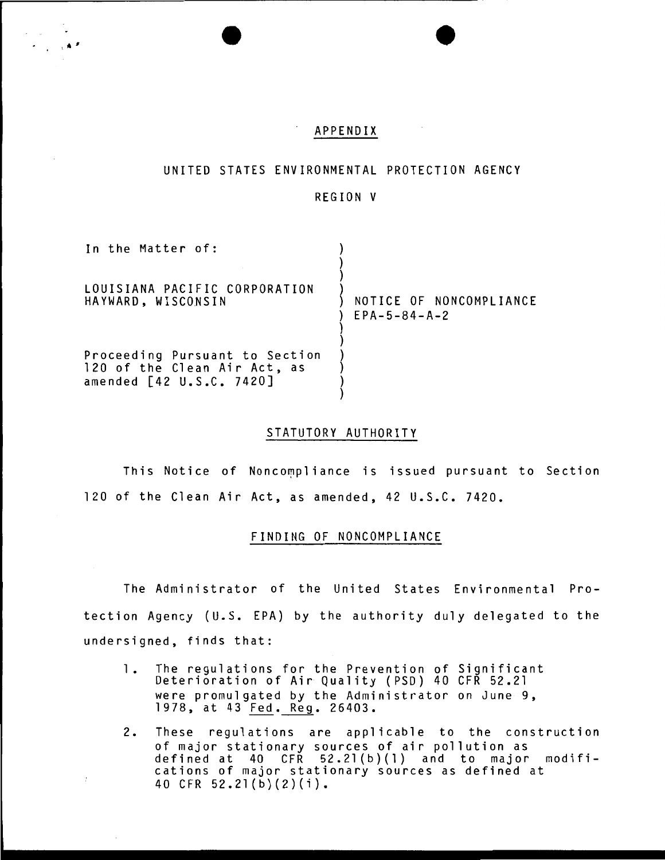## APPENDIX

 $\cdot$  .  $\cdot$ 

## UNITED STATES ENVIRONMENTAL PROTECTION AGENCY

#### REGION V

| In the Matter of:                                                                          |                                                   |
|--------------------------------------------------------------------------------------------|---------------------------------------------------|
| LOUISIANA PACIFIC CORPORATION<br>HAYWARD, WISCONSIN                                        | NOTICE OF NONCOMPLIANCE<br>$EPA - 5 - 84 - A - 2$ |
| Proceeding Pursuant to Section<br>120 of the Clean Air Act, as<br>amended [42 U.S.C. 7420] |                                                   |

#### STATUTORY AUTHORITY

This Notice of Noncompliance is issued pursuant to Section 120 of the Clean Air Act, as amended, 42 U.S.C. 7420.

## FINDING OF NONCOMPLIANCE

The Administrator of the United States Environmental Protection Agency (U.S. EPA) by the authority duly delegated to the undersigned, finds that:

- 1. The regulations for the Prevention of Significant Deterioration of Air Quality (PSD) 40 CFR 52.21 were promulgated by the Administrator on June 9, 1978, at 43 Fed. Reg. 26403.
- 2. These regulations are applicable to the construction of major stationary sources of air pollution as defined at 40 CFR 52.2l(b)(l) and to major modifications of major stationary sources as defined at 40 CFR 52.2l(b)(2)(i).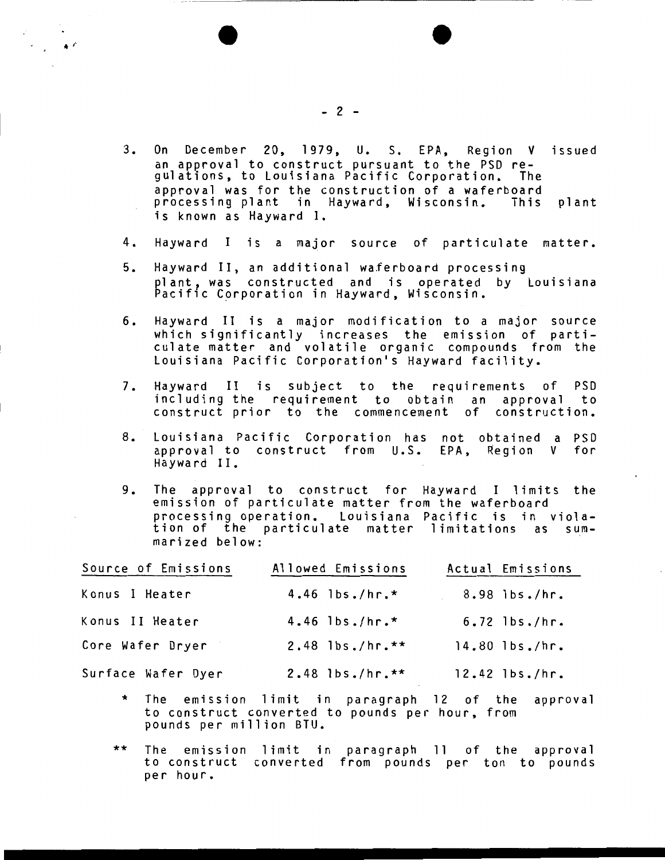- 3. On December 20, 1979, U. S. EPA, Region V issued an approval to construct pursuant to the PSD regulations, to louisiana Pacific Corporation. The approval was for the construction of a waferboard processing plant in Hayward, Wisconsin. This plant is known as Hayward I.
- 4. Hayward I is a major source of particulate matter.
- 5. Hayward II, an additional waferboard processing plant, was constructed and is operated by louisiana Pacific Corporation in Hayward, Wisconsin.
- 6. Hayward II is a major modification to a major source which significantly increases the emission of particulate matter and volatile organic compounds from the Louisiana Pacific Corporation's Hayward facility.
- 7. Hayward II is subject to the requirements of PSD including the requirement to obtain an approval to construct prior to the commencement of construction.
- 8. Louisiana Pacific Corporation has not obtained a PSD approval to construct from U.S. Hayward II. EPA, Region V for
- 9. The approval to construct for Hayward I limits the emission of particulate matter from the waferboard processing operation. Louisiana Pacific is in violation of the particulate matter limitations as summarized below:

| Source of Emissions | Allowed Emissions           | Actual Emissions   |
|---------------------|-----------------------------|--------------------|
| Konus I Heater      | 4.46 $\frac{1}{5}$ bs./hr.* | 8.98 lbs./hr.      |
| Konus II Heater     | 4.46 $\frac{1}{5}$ bs./hr.* | $6.72$ lbs./hr.    |
| Core Wafer Dryer    | $2.48$ lbs./hr.**           | $14.80$ $1bs./hr.$ |
| Surface Wafer Dyer  | $2.48$ lbs./hr.**           | $12.42$ $1bs./hr.$ |

- \* The emission limit in paragraph 12 of the approval to construct converted to pounds per hour, from pounds per million BTU.
- \*\* The emission limit in The emission limit in paragraph 11 of the approval<br>to construct converted from pounds per ton to pounds per hour.

 $\cdot$